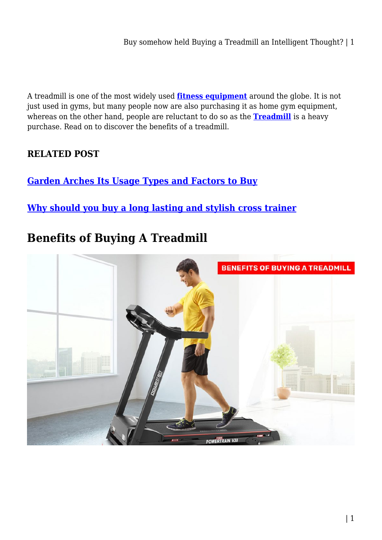Buy somehow held Buying a Treadmill an Intelligent Thought? | 1

A treadmill is one of the most widely used **[fitness equipment](https://shopystore.com.au/fitness-equipments/)** around the globe. It is not just used in gyms, but many people now are also purchasing it as home gym equipment, whereas on the other hand, people are reluctant to do so as the **[Treadmill](https://shopystore.com.au/fitness-equipments/treadmill/)** is a heavy purchase. Read on to discover the benefits of a treadmill.

# **RELATED POST**

**[Garden Arches Its Usage Types and Factors to Buy](https://bubbaearth.com.au/garden-arches-its-usage-types-and-factors-to-buy/)**

**[Why should you buy a long lasting and stylish cross trainer](https://bubbaearth.com.au/why-should-you-buy-a-long-lasting-and-stylish-cross-trainer/)**

# **Benefits of Buying A Treadmill**

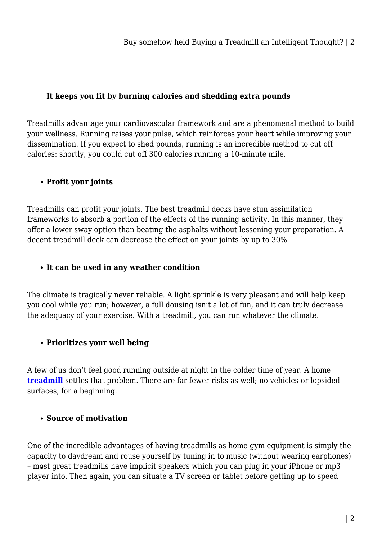## **It keeps you fit by burning calories and shedding extra pounds**

Treadmills advantage your cardiovascular framework and are a phenomenal method to build your wellness. Running raises your pulse, which reinforces your heart while improving your dissemination. If you expect to shed pounds, running is an incredible method to cut off calories: shortly, you could cut off 300 calories running a 10-minute mile.

# **Profit your joints**

Treadmills can profit your joints. The best treadmill decks have stun assimilation frameworks to absorb a portion of the effects of the running activity. In this manner, they offer a lower sway option than beating the asphalts without lessening your preparation. A decent treadmill deck can decrease the effect on your joints by up to 30%.

#### **It can be used in any weather condition**

The climate is tragically never reliable. A light sprinkle is very pleasant and will help keep you cool while you run; however, a full dousing isn't a lot of fun, and it can truly decrease the adequacy of your exercise. With a treadmill, you can run whatever the climate.

## **Prioritizes your well being**

A few of us don't feel good running outside at night in the colder time of year. A home **[treadmill](https://shopystore.com.au/fitness-equipments/treadmill/)** settles that problem. There are far fewer risks as well; no vehicles or lopsided surfaces, for a beginning.

## **Source of motivation**

One of the incredible advantages of having treadmills as home gym equipment is simply the capacity to daydream and rouse yourself by tuning in to music (without wearing earphones) – most great treadmills have implicit speakers which you can plug in your iPhone or mp3 player into. Then again, you can situate a TV screen or tablet before getting up to speed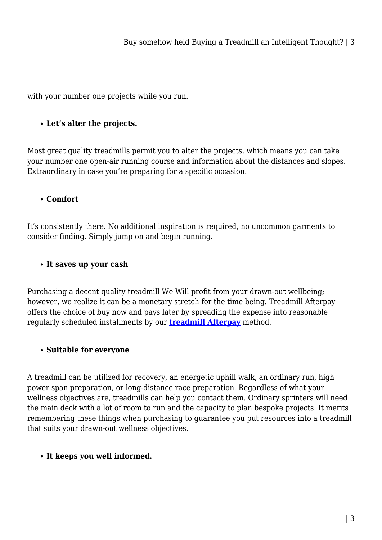with your number one projects while you run.

# **Let's alter the projects.**

Most great quality treadmills permit you to alter the projects, which means you can take your number one open-air running course and information about the distances and slopes. Extraordinary in case you're preparing for a specific occasion.

# **Comfort**

It's consistently there. No additional inspiration is required, no uncommon garments to consider finding. Simply jump on and begin running.

## **It saves up your cash**

Purchasing a decent quality treadmill We Will profit from your drawn-out wellbeing; however, we realize it can be a monetary stretch for the time being. Treadmill Afterpay offers the choice of buy now and pays later by spreading the expense into reasonable regularly scheduled installments by our **[treadmill Afterpay](https://shopystore.com.au/fitness-equipments/treadmill/)** method.

## **Suitable for everyone**

A treadmill can be utilized for recovery, an energetic uphill walk, an ordinary run, high power span preparation, or long-distance race preparation. Regardless of what your wellness objectives are, treadmills can help you contact them. Ordinary sprinters will need the main deck with a lot of room to run and the capacity to plan bespoke projects. It merits remembering these things when purchasing to guarantee you put resources into a treadmill that suits your drawn-out wellness objectives.

# **It keeps you well informed.**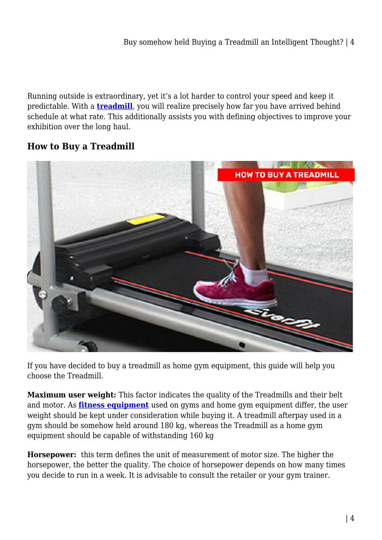Running outside is extraordinary, yet it's a lot harder to control your speed and keep it predictable. With a **[treadmill](https://shopystore.com.au/fitness-equipments/treadmill/)**, you will realize precisely how far you have arrived behind schedule at what rate. This additionally assists you with defining objectives to improve your exhibition over the long haul.

# **How to Buy a Treadmill**



If you have decided to buy a treadmill as home gym equipment, this guide will help you choose the Treadmill.

**Maximum user weight:** This factor indicates the quality of the Treadmills and their belt and motor. As **[fitness equipment](https://shopystore.com.au/fitness-equipments/)** used on gyms and home gym equipment differ, the user weight should be kept under consideration while buying it. A treadmill afterpay used in a gym should be somehow held around 180 kg, whereas the Treadmill as a home gym equipment should be capable of withstanding 160 kg

**Horsepower:** this term defines the unit of measurement of motor size. The higher the horsepower, the better the quality. The choice of horsepower depends on how many times you decide to run in a week. It is advisable to consult the retailer or your gym trainer.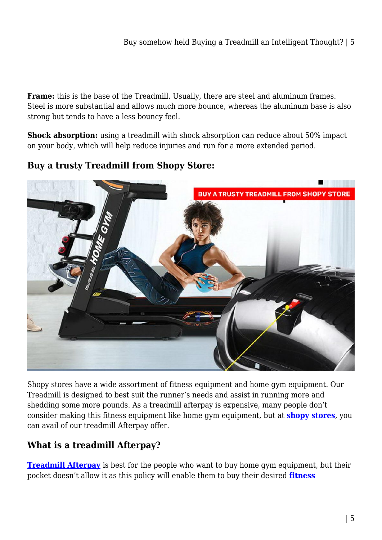**Frame:** this is the base of the Treadmill. Usually, there are steel and aluminum frames. Steel is more substantial and allows much more bounce, whereas the aluminum base is also strong but tends to have a less bouncy feel.

**Shock absorption:** using a treadmill with shock absorption can reduce about 50% impact on your body, which will help reduce injuries and run for a more extended period.

**Buy a trusty Treadmill from Shopy Store:**



Shopy stores have a wide assortment of fitness equipment and home gym equipment. Our Treadmill is designed to best suit the runner's needs and assist in running more and shedding some more pounds. As a treadmill afterpay is expensive, many people don't consider making this fitness equipment like home gym equipment, but at **[shopy stores](https://shopystore.com.au/)**, you can avail of our treadmill Afterpay offer.

# **What is a treadmill Afterpay?**

**[Treadmill Afterpay](https://shopystore.com.au/fitness-equipments/treadmill/)** is best for the people who want to buy home gym equipment, but their pocket doesn't allow it as this policy will enable them to buy their desired **[fitness](https://shopystore.com.au/fitness-equipments/)**